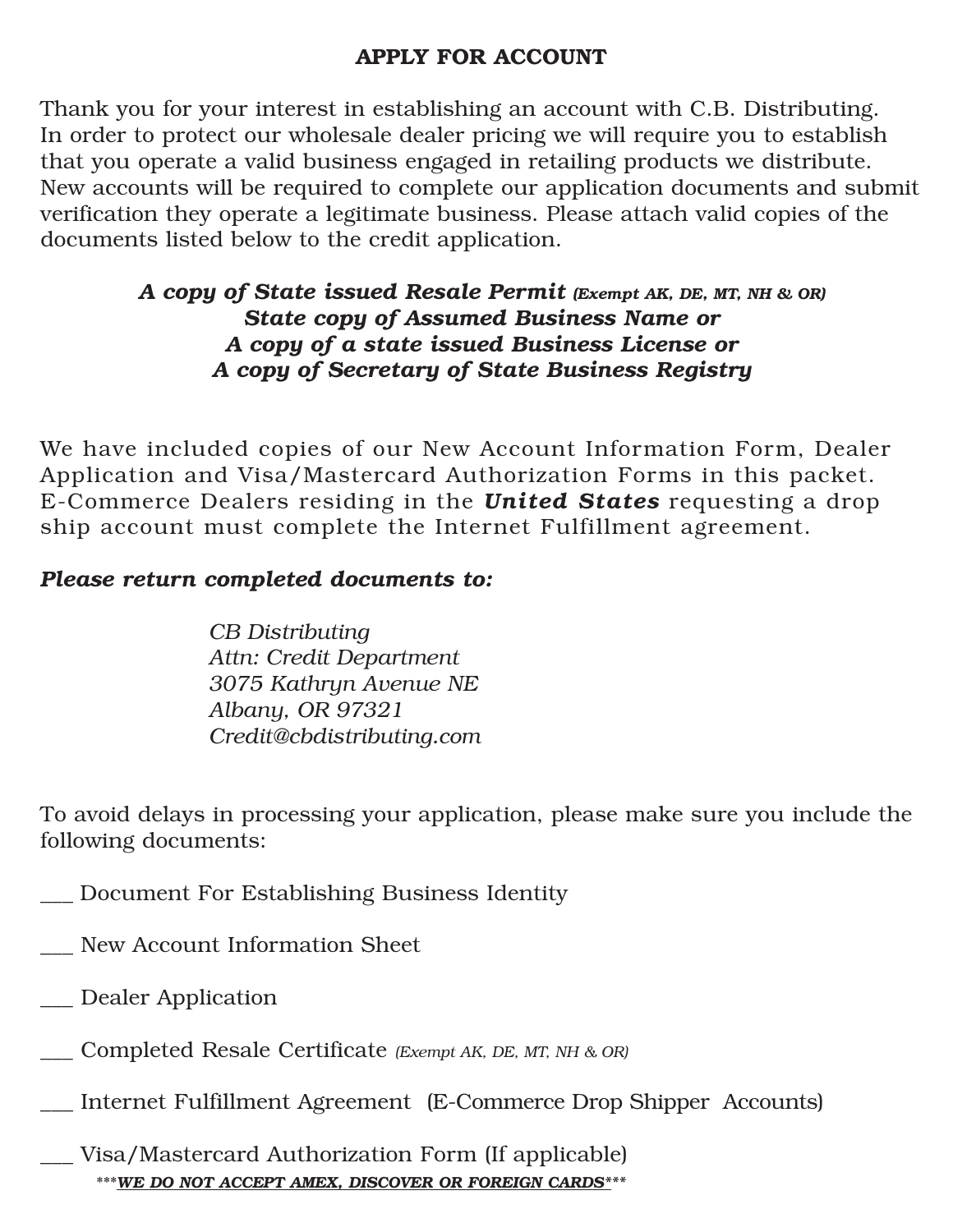### **APPLY FOR ACCOUNT**

Thank you for your interest in establishing an account with C.B. Distributing. In order to protect our wholesale dealer pricing we will require you to establish that you operate a valid business engaged in retailing products we distribute. New accounts will be required to complete our application documents and submit verification they operate a legitimate business. Please attach valid copies of the documents listed below to the credit application.

### *A copy of State issued Resale Permit (Exempt AK, DE, MT, NH & OR) State copy of Assumed Business Name or A copy of a state issued Business License or A copy of Secretary of State Business Registry*

We have included copies of our New Account Information Form, Dealer Application and Visa/Mastercard Authorization Forms in this packet. E-Commerce Dealers residing in the *United States* requesting a drop ship account must complete the Internet Fulfillment agreement.

### *Please return completed documents to:*

*CB Distributing Attn: Credit Department 3075 Kathryn Avenue NE Albany, OR 97321 Credit@cbdistributing.com*

To avoid delays in processing your application, please make sure you include the following documents:

- \_\_\_ Document For Establishing Business Identity
- New Account Information Sheet
- \_\_\_ Dealer Application
- \_\_\_ Completed Resale Certificate *(Exempt AK, DE, MT, NH & OR)*
- \_\_\_ Internet Fulfillment Agreement (E-Commerce Drop Shipper Accounts)
- \_\_\_ Visa/Mastercard Authorization Form (If applicable) \*\*\**WE DO NOT ACCEPT AMEX, DISCOVER OR FOREIGN CARDS\*\*\**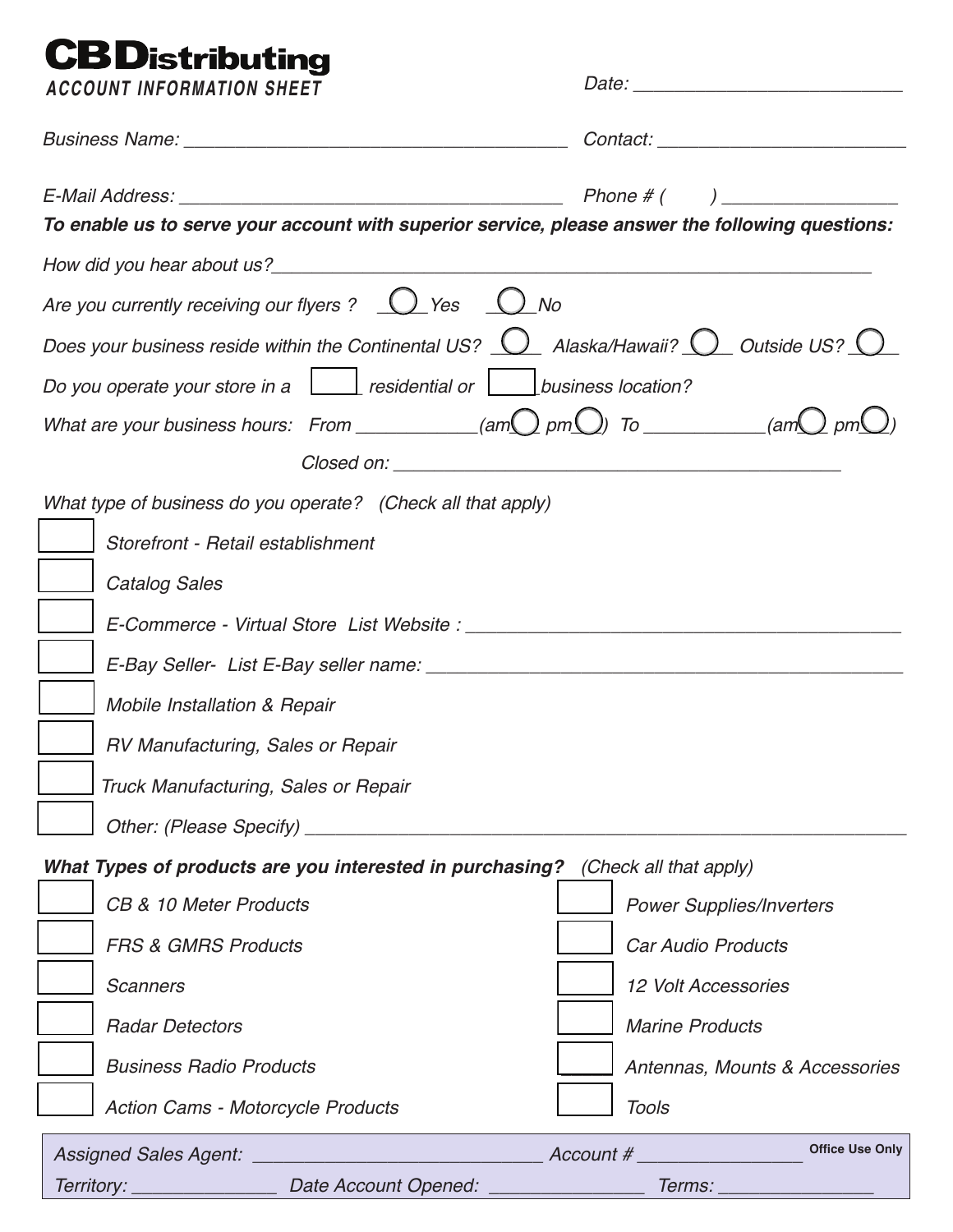# **CBD**istributing

| <b>ACCOUNT INFORMATION SHEET</b>                                                                                |                                 |  |  |  |  |
|-----------------------------------------------------------------------------------------------------------------|---------------------------------|--|--|--|--|
|                                                                                                                 |                                 |  |  |  |  |
| To enable us to serve your account with superior service, please answer the following questions:                |                                 |  |  |  |  |
|                                                                                                                 |                                 |  |  |  |  |
| Are you currently receiving our flyers ? $\bigcup$ Yes $\bigcup$ No                                             |                                 |  |  |  |  |
| Does your business reside within the Continental US? $\bigcup$ Alaska/Hawaii? $\bigcirc$ Outside US? $\bigcirc$ |                                 |  |  |  |  |
| Do you operate your store in a $\Box$ residential or $\Box$ business location?                                  |                                 |  |  |  |  |
| What are your business hours: From __________(am $\bigcirc$ pm $\bigcirc$ ) To _________(am $\bigcirc$ pm       |                                 |  |  |  |  |
|                                                                                                                 |                                 |  |  |  |  |
| What type of business do you operate? (Check all that apply)                                                    |                                 |  |  |  |  |
| Storefront - Retail establishment                                                                               |                                 |  |  |  |  |
| <b>Catalog Sales</b>                                                                                            |                                 |  |  |  |  |
|                                                                                                                 |                                 |  |  |  |  |
|                                                                                                                 |                                 |  |  |  |  |
| Mobile Installation & Repair                                                                                    |                                 |  |  |  |  |
| RV Manufacturing, Sales or Repair                                                                               |                                 |  |  |  |  |
| Truck Manufacturing, Sales or Repair                                                                            |                                 |  |  |  |  |
|                                                                                                                 |                                 |  |  |  |  |
| What Types of products are you interested in purchasing? (Check all that apply)                                 |                                 |  |  |  |  |
| CB & 10 Meter Products                                                                                          | <b>Power Supplies/Inverters</b> |  |  |  |  |
| <b>FRS &amp; GMRS Products</b>                                                                                  | Car Audio Products              |  |  |  |  |
| <b>Scanners</b>                                                                                                 | <b>12 Volt Accessories</b>      |  |  |  |  |
| <b>Radar Detectors</b>                                                                                          | <b>Marine Products</b>          |  |  |  |  |
| <b>Business Radio Products</b>                                                                                  | Antennas, Mounts & Accessories  |  |  |  |  |
| <b>Action Cams - Motorcycle Products</b>                                                                        | Tools                           |  |  |  |  |
|                                                                                                                 | <b>Office Use Only</b>          |  |  |  |  |
|                                                                                                                 | <i>Terms: _________</i>         |  |  |  |  |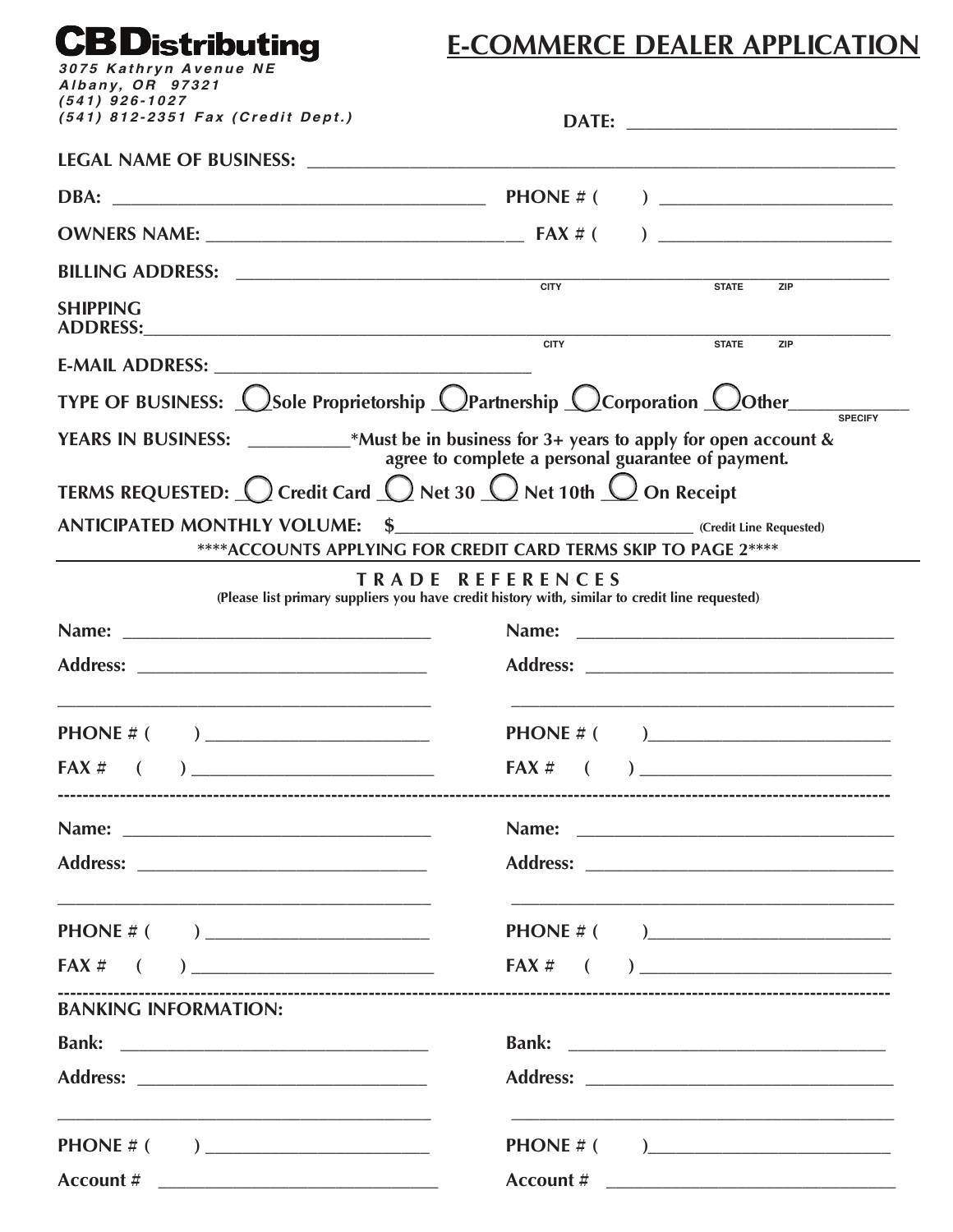# **CBD**istributing

### **E-COMMERCE DEALER APPLICATION**

| Albany, OR 97321                                                                                                                               |                         |                                               |  |
|------------------------------------------------------------------------------------------------------------------------------------------------|-------------------------|-----------------------------------------------|--|
| $(541)$ 926-1027<br>(541) 812-2351 Fax (Credit Dept.)                                                                                          |                         |                                               |  |
|                                                                                                                                                |                         |                                               |  |
|                                                                                                                                                |                         |                                               |  |
|                                                                                                                                                |                         |                                               |  |
|                                                                                                                                                |                         | STATE ZIP                                     |  |
| <b>SHIPPING</b>                                                                                                                                |                         |                                               |  |
|                                                                                                                                                |                         | STATE<br><b>ZIP</b>                           |  |
| TYPE OF BUSINESS: <u>OSole Proprietorship OPartnership OCorporation OOther</u>                                                                 |                         | <b>SPECIFY</b>                                |  |
| YEARS IN BUSINESS: ___________*Must be in business for 3+ years to apply for open account & agree to complete a personal guarantee of payment. |                         |                                               |  |
| TERMS REQUESTED: $\bigcirc$ Credit Card $\bigcirc$ Net 30 $\bigcirc$ Net 10th $\bigcirc$ On Receipt                                            |                         |                                               |  |
| ****ACCOUNTS APPLYING FOR CREDIT CARD TERMS SKIP TO PAGE 2****                                                                                 |                         |                                               |  |
| (Please list primary suppliers you have credit history with, similar to credit line requested)                                                 | <b>TRADE REFERENCES</b> |                                               |  |
|                                                                                                                                                | Name:                   |                                               |  |
|                                                                                                                                                |                         |                                               |  |
| <b>PHONE</b> # ( )                                                                                                                             |                         | <b>PHONE</b> # ( )___________________________ |  |
| $FAX \#$ ( )                                                                                                                                   |                         | $FAX \#$ ( )                                  |  |
|                                                                                                                                                |                         |                                               |  |
|                                                                                                                                                |                         |                                               |  |
|                                                                                                                                                |                         |                                               |  |
|                                                                                                                                                |                         |                                               |  |
|                                                                                                                                                |                         |                                               |  |
| <b>BANKING INFORMATION:</b>                                                                                                                    |                         |                                               |  |
|                                                                                                                                                |                         |                                               |  |
|                                                                                                                                                |                         |                                               |  |
| <u> 1989 - Johann Harry Harry Harry Harry Harry Harry Harry Harry Harry Harry Harry Harry Harry Harry Harry Harry</u>                          |                         |                                               |  |
|                                                                                                                                                |                         |                                               |  |
|                                                                                                                                                |                         |                                               |  |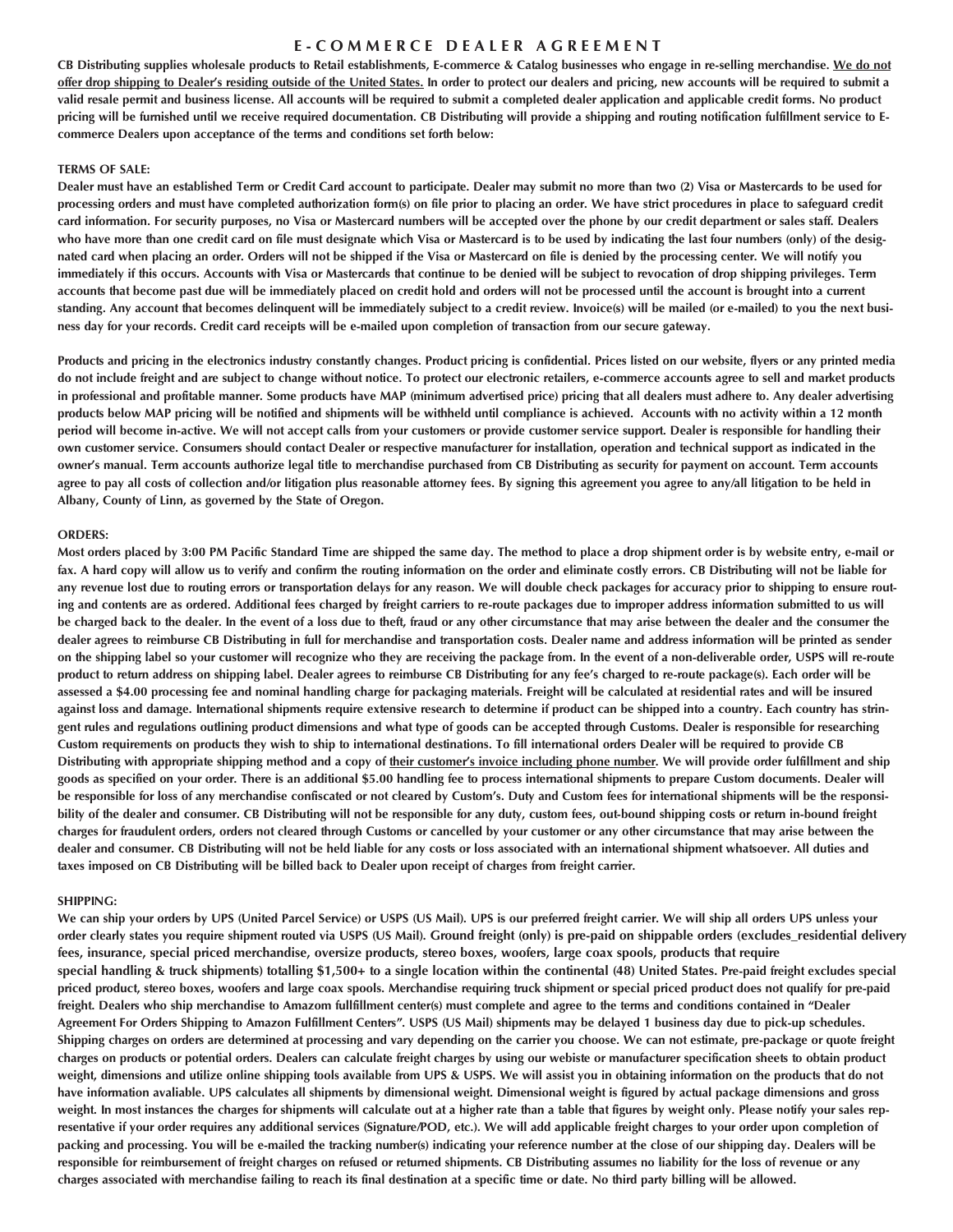#### **E - C O M M E R C E D E A L E R A G R E E M E N T**

**CB Distributing supplies wholesale products to Retail establishments, E-commerce & Catalog businesses who engage in re-selling merchandise. We do not offer drop shipping to Dealer's residing outside of the United States. In order to protect our dealers and pricing, new accounts will be required to submit a valid resale permit and business license. All accounts will be required to submit a completed dealer application and applicable credit forms. No product pricing will be furnished until we receive required documentation. CB Distributing will provide a shipping and routing notification fulfillment service to Ecommerce Dealers upon acceptance of the terms and conditions set forth below:**

#### **TERMS OF SALE:**

**Dealer must have an established Term or Credit Card account to participate. Dealer may submit no more than two (2) Visa or Mastercards to be used for processing orders and must have completed authorization form(s) on file prior to placing an order. We have strict procedures in place to safeguard credit card information. For security purposes, no Visa or Mastercard numbers will be accepted over the phone by our credit department or sales staff. Dealers who have more than one credit card on file must designate which Visa or Mastercard is to be used by indicating the last four numbers (only) of the designated card when placing an order. Orders will not be shipped if the Visa or Mastercard on file is denied by the processing center. We will notify you immediately if this occurs. Accounts with Visa or Mastercards that continue to be denied will be subject to revocation of drop shipping privileges. Term accounts that become past due will be immediately placed on credit hold and orders will not be processed until the account is brought into a current** standing. Any account that becomes delinguent will be immediately subject to a credit review. Invoice(s) will be mailed (or e-mailed) to you the next busi**ness day for your records. Credit card receipts will be e-mailed upon completion of transaction from our secure gateway.** 

Products and pricing in the electronics industry constantly changes. Product pricing is confidential. Prices listed on our website, flyers or any printed media **do not include freight and are subject to change without notice. To protect our electronic retailers, e-commerce accounts agree to sell and market products in professional and profitable manner. Some products have MAP (minimum advertised price) pricing that all dealers must adhere to. Any dealer advertising products below MAP pricing will be notified and shipments will be withheld until compliance is achieved. Accounts with no activity within a 12 month period will become in-active. We will not accept calls from your customers or provide customer service support. Dealer is responsible for handling their own customer service. Consumers should contact Dealer or respective manufacturer for installation, operation and technical support as indicated in the owner's manual. Term accounts authorize legal title to merchandise purchased from CB Distributing as security for payment on account. Term accounts agree to pay all costs of collection and/or litigation plus reasonable attorney fees. By signing this agreement you agree to any/all litigation to be held in Albany, County of Linn, as governed by the State of Oregon.**

#### **ORDERS:**

**Most orders placed by 3:00 PM Pacific Standard Time are shipped the same day. The method to place a drop shipment order is by website entry, e-mail or fax. A hard copy will allow us to verify and confirm the routing information on the order and eliminate costly errors. CB Distributing will not be liable for any revenue lost due to routing errors or transportation delays for any reason. We will double check packages for accuracy prior to shipping to ensure routing and contents are as ordered. Additional fees charged by freight carriers to re-route packages due to improper address information submitted to us will be charged back to the dealer. In the event of a loss due to theft, fraud or any other circumstance that may arise between the dealer and the consumer the dealer agrees to reimburse CB Distributing in full for merchandise and transportation costs. Dealer name and address information will be printed as sender on the shipping label so your customer will recognize who they are receiving the package from. In the event of a non-deliverable order, USPS will re-route product to return address on shipping label. Dealer agrees to reimburse CB Distributing for any fee's charged to re-route package(s). Each order will be assessed a \$4.00 processing fee and nominal handling charge for packaging materials. Freight will be calculated at residential rates and will be insured against loss and damage. International shipments require extensive research to determine if product can be shipped into a country. Each country has stringent rules and regulations outlining product dimensions and what type of goods can be accepted through Customs. Dealer is responsible for researching Custom requirements on products they wish to ship to international destinations. To fill international orders Dealer will be required to provide CB** Distributing with appropriate shipping method and a copy of their customer's invoice including phone number. We will provide order fulfillment and ship **goods as specified on your order. There is an additional \$5.00 handling fee to process international shipments to prepare Custom documents. Dealer will be responsible for loss of any merchandise confiscated or not cleared by Custom's. Duty and Custom fees for international shipments will be the responsibility of the dealer and consumer. CB Distributing will not be responsible for any duty, custom fees, out-bound shipping costs or return in-bound freight charges for fraudulent orders, orders not cleared through Customs or cancelled by your customer or any other circumstance that may arise between the dealer and consumer. CB Distributing will not be held liable for any costs or loss associated with an international shipment whatsoever. All duties and taxes imposed on CB Distributing will be billed back to Dealer upon receipt of charges from freight carrier.**

#### **SHIPPING:**

**We can ship your orders by UPS (United Parcel Service) or USPS (US Mail). UPS is our preferred freight carrier. We will ship all orders UPS unless your order clearly states you require shipment routed via USPS (US Mail). Ground freight (only) is pre-paid on shippable orders (excludes\_residential delivery fees, insurance, special priced merchandise, oversize products, stereo boxes, woofers, large coax spools, products that require special handling & truck shipments) totalling \$1,500+ to a single location within the continental (48) United States. Pre-paid freight excludes special priced product, stereo boxes, woofers and large coax spools. Merchandise requiring truck shipment or special priced product does not qualify for pre-paid** freight. Dealers who ship merchandise to Amazom fullfillment center(s) must complete and agree to the terms and conditions contained in "Dealer **Agreement For Orders Shipping to Amazon Fulfillment Centers". USPS (US Mail) shipments may be delayed 1 business day due to pick-up schedules. Shipping charges on orders are determined at processing and vary depending on the carrier you choose. We can not estimate, pre-package or quote freight charges on products or potential orders. Dealers can calculate freight charges by using our webiste or manufacturer specification sheets to obtain product weight, dimensions and utilize online shipping tools available from UPS & USPS. We will assist you in obtaining information on the products that do not have information avaliable. UPS calculates all shipments by dimensional weight. Dimensional weight is figured by actual package dimensions and gross** weight. In most instances the charges for shipments will calculate out at a higher rate than a table that figures by weight only. Please notify your sales rep**resentative if your order requires any additional services (Signature/POD, etc.). We will add applicable freight charges to your order upon completion of packing and processing. You will be e-mailed the tracking number(s) indicating your reference number at the close of our shipping day. Dealers will be responsible for reimbursement of freight charges on refused or returned shipments. CB Distributing assumes no liability for the loss of revenue or any charges associated with merchandise failing to reach its final destination at a specific time or date. No third party billing will be allowed.**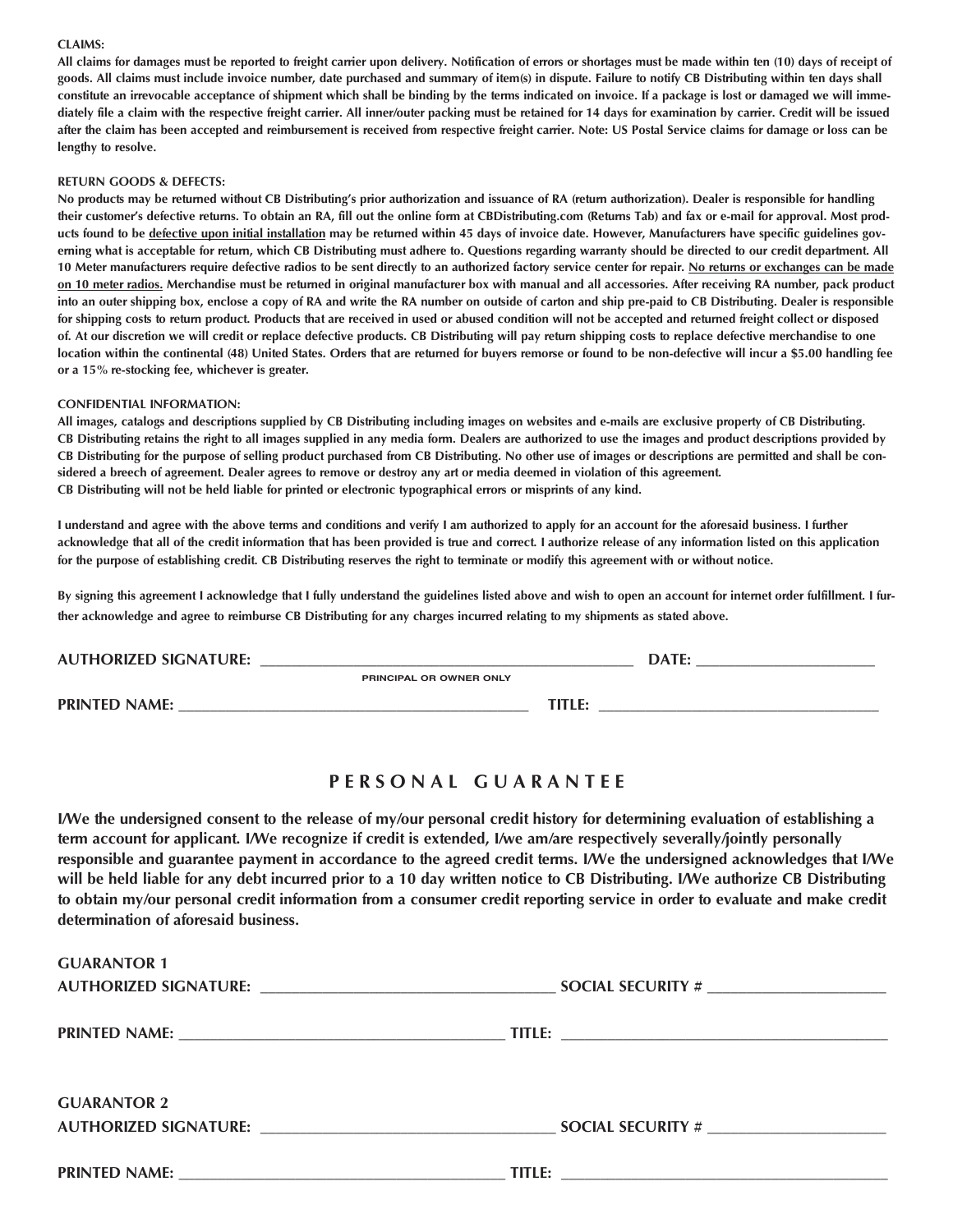#### **CLAIMS:**

**All claims for damages must be reported to freight carrier upon delivery. Notification of errors or shortages must be made within ten (10) days of receipt of goods. All claims must include invoice number, date purchased and summary of item(s) in dispute. Failure to notify CB Distributing within ten days shall constitute an irrevocable acceptance of shipment which shall be binding by the terms indicated on invoice. If a package is lost or damaged we will immediately file a claim with the respective freight carrier. All inner/outer packing must be retained for 14 days for examination by carrier. Credit will be issued after the claim has been accepted and reimbursement is received from respective freight carrier. Note: US Postal Service claims for damage or loss can be lengthy to resolve.**

#### **RETURN GOODS & DEFECTS:**

**No products may be returned without CB Distributing's prior authorization and issuance of RA (return authorization). Dealer is responsible for handling their customer's defective returns. To obtain an RA, fill out the online form at CBDistributing.com (Returns Tab) and fax or e-mail for approval. Most products found to be defective upon initial installation may be returned within 45 days of invoice date. However, Manufacturers have specific guidelines governing what is acceptable for return, which CB Distributing must adhere to. Questions regarding warranty should be directed to our credit department. All 10 Meter manufacturers require defective radios to be sent directly to an authorized factory service center for repair. No returns or exchanges can be made on 10 meter radios. Merchandise must be returned in original manufacturer box with manual and all accessories. After receiving RA number, pack product into an outer shipping box, enclose a copy of RA and write the RA number on outside of carton and ship pre-paid to CB Distributing. Dealer is responsible for shipping costs to return product. Products that are received in used or abused condition will not be accepted and returned freight collect or disposed of. At our discretion we will credit or replace defective products. CB Distributing will pay return shipping costs to replace defective merchandise to one location within the continental (48) United States. Orders that are returned for buyers remorse or found to be non-defective will incur a \$5.00 handling fee or a 15% re-stocking fee, whichever is greater.**

#### **CONFIDENTIAL INFORMATION:**

**All images, catalogs and descriptions supplied by CB Distributing including images on websites and e-mails are exclusive property of CB Distributing. CB Distributing retains the right to all images supplied in any media form. Dealers are authorized to use the images and product descriptions provided by CB Distributing for the purpose of selling product purchased from CB Distributing. No other use of images or descriptions are permitted and shall be considered a breech of agreement. Dealer agrees to remove or destroy any art or media deemed in violation of this agreement. CB Distributing will not be held liable for printed or electronic typographical errors or misprints of any kind.**

**I understand and agree with the above terms and conditions and verify I am authorized to apply for an account for the aforesaid business. I further acknowledge that all of the credit information that has been provided is true and correct. I authorize release of any information listed on this application for the purpose of establishing credit. CB Distributing reserves the right to terminate or modify this agreement with or without notice.**

**By signing this agreement I acknowledge that I fully understand the guidelines listed above and wish to open an account for internet order fulfillment. I further acknowledge and agree to reimburse CB Distributing for any charges incurred relating to my shipments as stated above.**

| <b>AUTHORIZED SIGNATURE:</b> |                         | DATE: |
|------------------------------|-------------------------|-------|
|                              | PRINCIPAL OR OWNER ONLY |       |
| <b>PRINTED NAME:</b>         | TITLE:                  |       |

#### **P E R S O N A L G U A R A N T E E**

**I/We the undersigned consent to the release of my/our personal credit history for determining evaluation of establishing a term account for applicant. I/We recognize if credit is extended, I/we am/are respectively severally/jointly personally responsible and guarantee payment in accordance to the agreed credit terms. I/We the undersigned acknowledges that I/We will be held liable for any debt incurred prior to a 10 day written notice to CB Distributing. I/We authorize CB Distributing to obtain my/our personal credit information from a consumer credit reporting service in order to evaluate and make credit determination of aforesaid business.**

| <b>GUARANTOR 1</b> |  |
|--------------------|--|
|                    |  |
|                    |  |
|                    |  |
|                    |  |
| <b>GUARANTOR 2</b> |  |
|                    |  |
|                    |  |
|                    |  |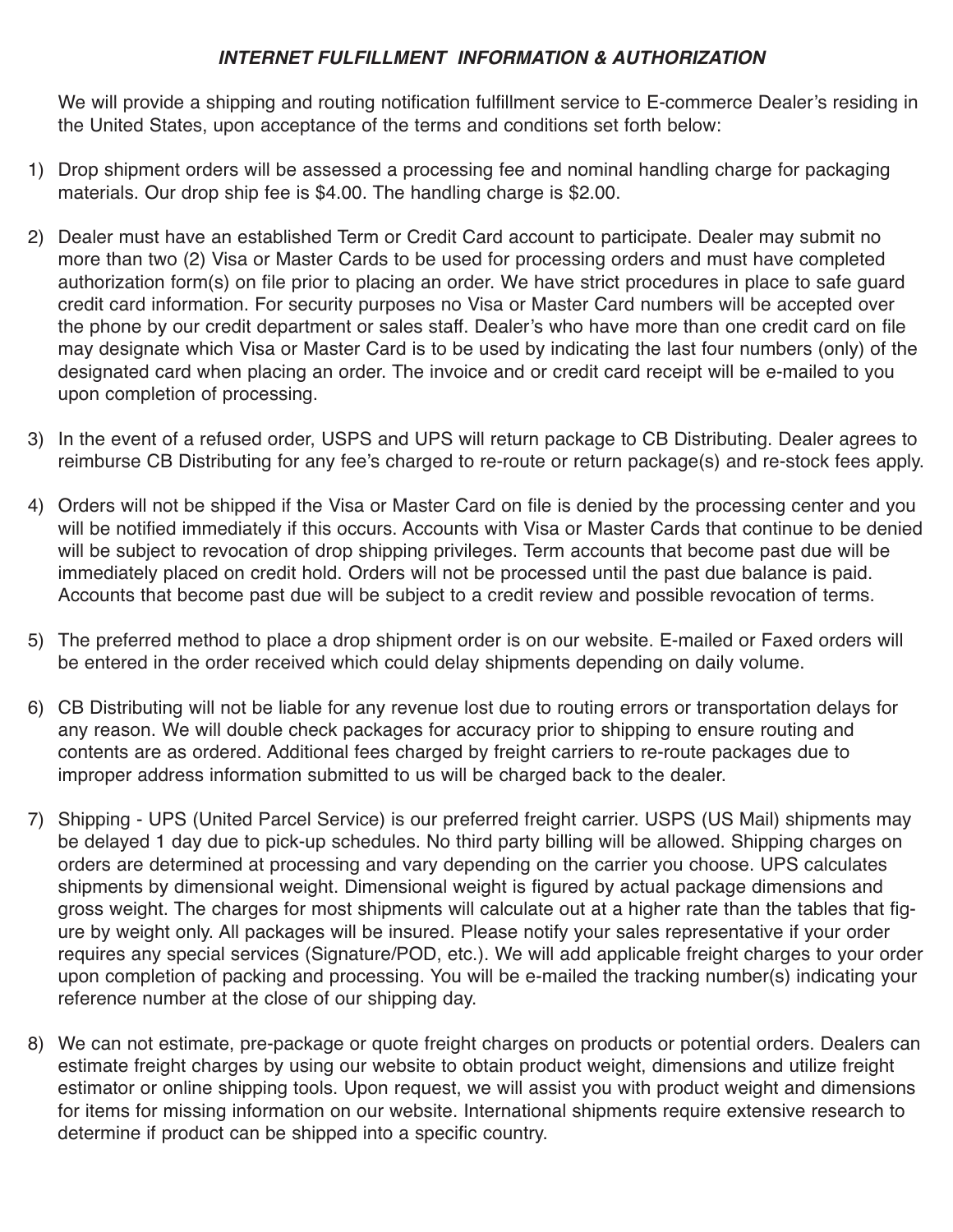### *INTERNET FULFILLMENT INFORMATION & AUTHORIZATION*

We will provide a shipping and routing notification fulfillment service to E-commerce Dealer's residing in the United States, upon acceptance of the terms and conditions set forth below:

- 1) Drop shipment orders will be assessed a processing fee and nominal handling charge for packaging materials. Our drop ship fee is \$4.00. The handling charge is \$2.00.
- Dealer must have an established Term or Credit Card account to participate. Dealer may submit no 2) more than two (2) Visa or Master Cards to be used for processing orders and must have completed authorization form(s) on file prior to placing an order. We have strict procedures in place to safe guard credit card information. For security purposes no Visa or Master Card numbers will be accepted over the phone by our credit department or sales staff. Dealer's who have more than one credit card on file may designate which Visa or Master Card is to be used by indicating the last four numbers (only) of the designated card when placing an order. The invoice and or credit card receipt will be e-mailed to you upon completion of processing.
- 3) In the event of a refused order, USPS and UPS will return package to CB Distributing. Dealer agrees to reimburse CB Distributing for any fee's charged to re-route or return package(s) and re-stock fees apply.
- Orders will not be shipped if the Visa or Master Card on file is denied by the processing center and you 4) will be notified immediately if this occurs. Accounts with Visa or Master Cards that continue to be denied will be subject to revocation of drop shipping privileges. Term accounts that become past due will be immediately placed on credit hold. Orders will not be processed until the past due balance is paid. Accounts that become past due will be subject to a credit review and possible revocation of terms.
- The preferred method to place a drop shipment order is on our website. E-mailed or Faxed orders will 5) be entered in the order received which could delay shipments depending on daily volume.
- CB Distributing will not be liable for any revenue lost due to routing errors or transportation delays for 6) any reason. We will double check packages for accuracy prior to shipping to ensure routing and contents are as ordered. Additional fees charged by freight carriers to re-route packages due to improper address information submitted to us will be charged back to the dealer.
- 7) Shipping UPS (United Parcel Service) is our preferred freight carrier. USPS (US Mail) shipments may be delayed 1 day due to pick-up schedules. No third party billing will be allowed. Shipping charges on orders are determined at processing and vary depending on the carrier you choose. UPS calculates shipments by dimensional weight. Dimensional weight is figured by actual package dimensions and gross weight. The charges for most shipments will calculate out at a higher rate than the tables that figure by weight only. All packages will be insured. Please notify your sales representative if your order requires any special services (Signature/POD, etc.). We will add applicable freight charges to your order upon completion of packing and processing. You will be e-mailed the tracking number(s) indicating your reference number at the close of our shipping day.
- We can not estimate, pre-package or quote freight charges on products or potential orders. Dealers can 8)estimate freight charges by using our website to obtain product weight, dimensions and utilize freight estimator or online shipping tools. Upon request, we will assist you with product weight and dimensions for items for missing information on our website. International shipments require extensive research to determine if product can be shipped into a specific country.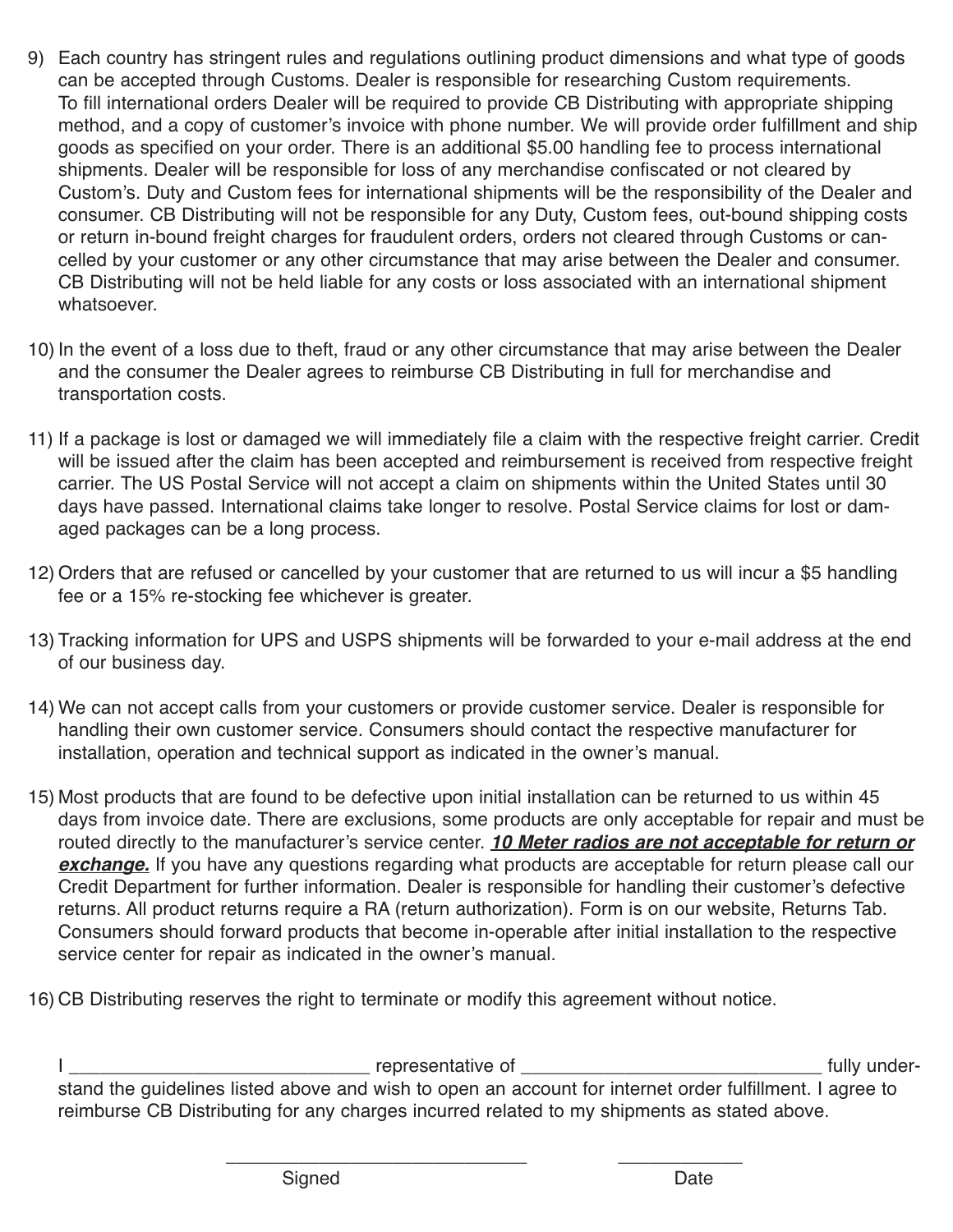- Each country has stringent rules and regulations outlining product dimensions and what type of goods 9) can be accepted through Customs. Dealer is responsible for researching Custom requirements. To fill international orders Dealer will be required to provide CB Distributing with appropriate shipping method, and a copy of customer's invoice with phone number. We will provide order fulfillment and ship goods as specified on your order. There is an additional \$5.00 handling fee to process international shipments. Dealer will be responsible for loss of any merchandise confiscated or not cleared by Custom's. Duty and Custom fees for international shipments will be the responsibility of the Dealer and consumer. CB Distributing will not be responsible for any Duty, Custom fees, out-bound shipping costs or return in-bound freight charges for fraudulent orders, orders not cleared through Customs or cancelled by your customer or any other circumstance that may arise between the Dealer and consumer. CB Distributing will not be held liable for any costs or loss associated with an international shipment whatsoever.
- 10) In the event of a loss due to theft, fraud or any other circumstance that may arise between the Dealer and the consumer the Dealer agrees to reimburse CB Distributing in full for merchandise and transportation costs.
- 11) If a package is lost or damaged we will immediately file a claim with the respective freight carrier. Credit will be issued after the claim has been accepted and reimbursement is received from respective freight carrier. The US Postal Service will not accept a claim on shipments within the United States until 30 days have passed. International claims take longer to resolve. Postal Service claims for lost or damaged packages can be a long process.
- Orders that are refused or cancelled by your customer that are returned to us will incur a \$5 handling 12) fee or a 15% re-stocking fee whichever is greater.
- 13) Tracking information for UPS and USPS shipments will be forwarded to your e-mail address at the end of our business day.
- We can not accept calls from your customers or provide customer service. Dealer is responsible for 14) handling their own customer service. Consumers should contact the respective manufacturer for installation, operation and technical support as indicated in the owner's manual.
- Most products that are found to be defective upon initial installation can be returned to us within 45 15) days from invoice date. There are exclusions, some products are only acceptable for repair and must be routed directly to the manufacturer's service center. *10 Meter radios are not acceptable for return or* **exchange.** If you have any questions regarding what products are acceptable for return please call our Credit Department for further information. Dealer is responsible for handling their customer's defective returns. All product returns require a RA (return authorization). Form is on our website, Returns Tab. Consumers should forward products that become in-operable after initial installation to the respective service center for repair as indicated in the owner's manual.
- CB Distributing reserves the right to terminate or modify this agreement without notice. 16)

I \_\_\_\_\_\_\_\_\_\_\_\_\_\_\_\_\_\_\_\_\_\_\_\_\_\_\_\_\_ representative of \_\_\_\_\_\_\_\_\_\_\_\_\_\_\_\_\_\_\_\_\_\_\_\_\_\_\_\_\_ fully understand the guidelines listed above and wish to open an account for internet order fulfillment. I agree to reimburse CB Distributing for any charges incurred related to my shipments as stated above.